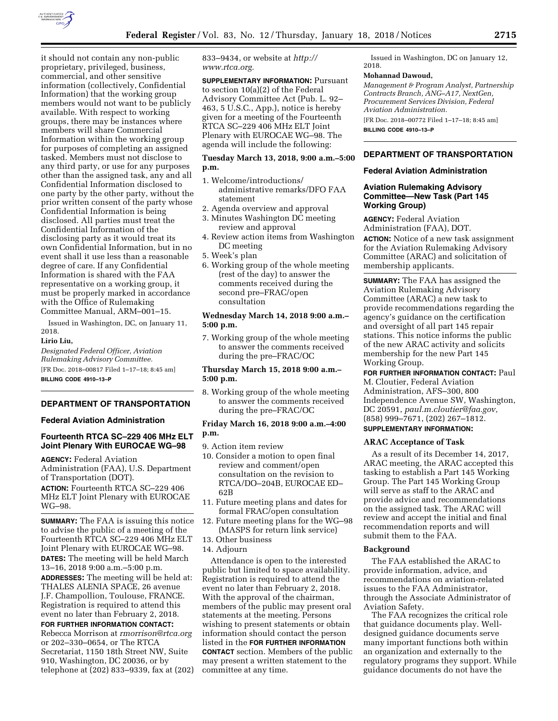

it should not contain any non-public proprietary, privileged, business, commercial, and other sensitive information (collectively, Confidential Information) that the working group members would not want to be publicly available. With respect to working groups, there may be instances where members will share Commercial Information within the working group for purposes of completing an assigned tasked. Members must not disclose to any third party, or use for any purposes other than the assigned task, any and all Confidential Information disclosed to one party by the other party, without the prior written consent of the party whose Confidential Information is being disclosed. All parties must treat the Confidential Information of the disclosing party as it would treat its own Confidential Information, but in no event shall it use less than a reasonable degree of care. If any Confidential Information is shared with the FAA representative on a working group, it must be properly marked in accordance with the Office of Rulemaking Committee Manual, ARM–001–15.

Issued in Washington, DC, on January 11, 2018.

#### **Lirio Liu,**

*Designated Federal Officer, Aviation Rulemaking Advisory Committee.*  [FR Doc. 2018–00817 Filed 1–17–18; 8:45 am] **BILLING CODE 4910–13–P** 

## **DEPARTMENT OF TRANSPORTATION**

#### **Federal Aviation Administration**

# **Fourteenth RTCA SC–229 406 MHz ELT Joint Plenary With EUROCAE WG–98**

**AGENCY:** Federal Aviation Administration (FAA), U.S. Department of Transportation (DOT). **ACTION:** Fourteenth RTCA SC–229 406 MHz ELT Joint Plenary with EUROCAE WG–98.

**SUMMARY:** The FAA is issuing this notice to advise the public of a meeting of the Fourteenth RTCA SC–229 406 MHz ELT Joint Plenary with EUROCAE WG–98. **DATES:** The meeting will be held March 13–16, 2018 9:00 a.m.–5:00 p.m. **ADDRESSES:** The meeting will be held at: THALES ALENIA SPACE, 26 avenue J.F. Champollion, Toulouse, FRANCE. Registration is required to attend this event no later than February 2, 2018.

## **FOR FURTHER INFORMATION CONTACT:**  Rebecca Morrison at *[rmorrison@rtca.org](mailto:rmorrison@rtca.org)*  or 202–330–0654, or The RTCA Secretariat, 1150 18th Street NW, Suite 910, Washington, DC 20036, or by telephone at (202) 833–9339, fax at (202)

833–9434, or website at *[http://](http://www.rtca.org) [www.rtca.org.](http://www.rtca.org)* 

**SUPPLEMENTARY INFORMATION:** Pursuant to section 10(a)(2) of the Federal Advisory Committee Act (Pub. L. 92– 463, 5 U.S.C., App.), notice is hereby given for a meeting of the Fourteenth RTCA SC–229 406 MHz ELT Joint Plenary with EUROCAE WG–98. The agenda will include the following:

## **Tuesday March 13, 2018, 9:00 a.m.–5:00 p.m.**

- 1. Welcome/introductions/ administrative remarks/DFO FAA statement
- 2. Agenda overview and approval
- 3. Minutes Washington DC meeting review and approval
- 4. Review action items from Washington DC meeting
- 5. Week's plan
- 6. Working group of the whole meeting (rest of the day) to answer the comments received during the second pre–FRAC/open consultation

## **Wednesday March 14, 2018 9:00 a.m.– 5:00 p.m.**

7. Working group of the whole meeting to answer the comments received during the pre–FRAC/OC

# **Thursday March 15, 2018 9:00 a.m.– 5:00 p.m.**

8. Working group of the whole meeting to answer the comments received during the pre–FRAC/OC

## **Friday March 16, 2018 9:00 a.m.–4:00 p.m.**

9. Action item review

- 10. Consider a motion to open final review and comment/open consultation on the revision to RTCA/DO–204B, EUROCAE ED– 62B
- 11. Future meeting plans and dates for formal FRAC/open consultation
- Future meeting plans for the WG–98 (MASPS for return link service)
- 13. Other business
- 14. Adjourn

Attendance is open to the interested public but limited to space availability. Registration is required to attend the event no later than February 2, 2018. With the approval of the chairman, members of the public may present oral statements at the meeting. Persons wishing to present statements or obtain information should contact the person listed in the **FOR FURTHER INFORMATION CONTACT** section. Members of the public may present a written statement to the committee at any time.

Issued in Washington, DC on January 12, 2018.

#### **Mohannad Dawoud,**

*Management & Program Analyst, Partnership Contracts Branch, ANG–A17, NextGen, Procurement Services Division, Federal Aviation Administration.* 

[FR Doc. 2018–00772 Filed 1–17–18; 8:45 am] **BILLING CODE 4910–13–P** 

# **DEPARTMENT OF TRANSPORTATION**

## **Federal Aviation Administration**

## **Aviation Rulemaking Advisory Committee—New Task (Part 145 Working Group)**

**AGENCY:** Federal Aviation Administration (FAA), DOT. **ACTION:** Notice of a new task assignment for the Aviation Rulemaking Advisory Committee (ARAC) and solicitation of membership applicants.

**SUMMARY:** The FAA has assigned the Aviation Rulemaking Advisory Committee (ARAC) a new task to provide recommendations regarding the agency's guidance on the certification and oversight of all part 145 repair stations. This notice informs the public of the new ARAC activity and solicits membership for the new Part 145 Working Group.

**FOR FURTHER INFORMATION CONTACT:** Paul M. Cloutier, Federal Aviation Administration, AFS–300, 800 Independence Avenue SW, Washington, DC 20591, *[paul.m.cloutier@faa.gov,](mailto:paul.m.cloutier@faa.gov)*  (858) 999–7671, (202) 267–1812. **SUPPLEMENTARY INFORMATION:** 

## **ARAC Acceptance of Task**

As a result of its December 14, 2017, ARAC meeting, the ARAC accepted this tasking to establish a Part 145 Working Group. The Part 145 Working Group will serve as staff to the ARAC and provide advice and recommendations on the assigned task. The ARAC will review and accept the initial and final recommendation reports and will submit them to the FAA.

#### **Background**

The FAA established the ARAC to provide information, advice, and recommendations on aviation-related issues to the FAA Administrator, through the Associate Administrator of Aviation Safety.

The FAA recognizes the critical role that guidance documents play. Welldesigned guidance documents serve many important functions both within an organization and externally to the regulatory programs they support. While guidance documents do not have the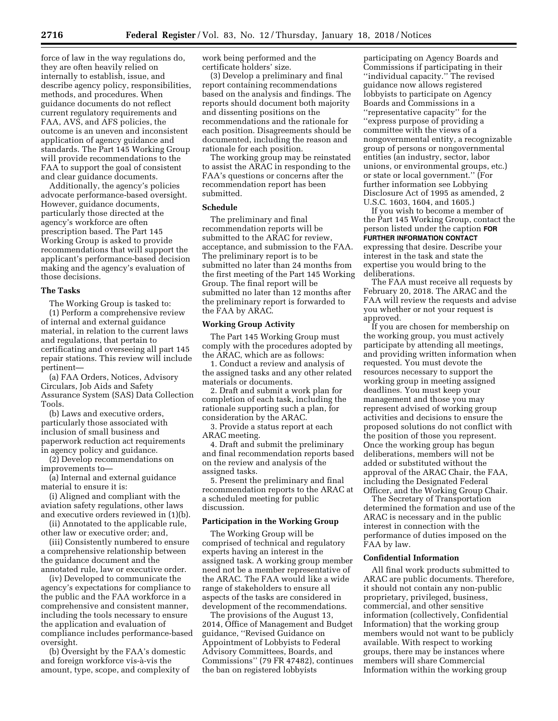force of law in the way regulations do, they are often heavily relied on internally to establish, issue, and describe agency policy, responsibilities, methods, and procedures. When guidance documents do not reflect current regulatory requirements and FAA, AVS, and AFS policies, the outcome is an uneven and inconsistent application of agency guidance and standards. The Part 145 Working Group will provide recommendations to the FAA to support the goal of consistent and clear guidance documents.

Additionally, the agency's policies advocate performance-based oversight. However, guidance documents, particularly those directed at the agency's workforce are often prescription based. The Part 145 Working Group is asked to provide recommendations that will support the applicant's performance-based decision making and the agency's evaluation of those decisions.

#### **The Tasks**

The Working Group is tasked to: (1) Perform a comprehensive review of internal and external guidance material, in relation to the current laws and regulations, that pertain to certificating and overseeing all part 145 repair stations. This review will include pertinent—

(a) FAA Orders, Notices, Advisory Circulars, Job Aids and Safety Assurance System (SAS) Data Collection Tools.

(b) Laws and executive orders, particularly those associated with inclusion of small business and paperwork reduction act requirements in agency policy and guidance.

(2) Develop recommendations on improvements to—

(a) Internal and external guidance material to ensure it is:

(i) Aligned and compliant with the aviation safety regulations, other laws and executive orders reviewed in (1)(b).

(ii) Annotated to the applicable rule, other law or executive order; and,

(iii) Consistently numbered to ensure a comprehensive relationship between the guidance document and the annotated rule, law or executive order.

(iv) Developed to communicate the agency's expectations for compliance to the public and the FAA workforce in a comprehensive and consistent manner, including the tools necessary to ensure the application and evaluation of compliance includes performance-based oversight.

(b) Oversight by the FAA's domestic and foreign workforce vis-a`-vis the amount, type, scope, and complexity of work being performed and the certificate holders' size.

(3) Develop a preliminary and final report containing recommendations based on the analysis and findings. The reports should document both majority and dissenting positions on the recommendations and the rationale for each position. Disagreements should be documented, including the reason and rationale for each position.

The working group may be reinstated to assist the ARAC in responding to the FAA's questions or concerns after the recommendation report has been submitted.

#### **Schedule**

The preliminary and final recommendation reports will be submitted to the ARAC for review, acceptance, and submission to the FAA. The preliminary report is to be submitted no later than 24 months from the first meeting of the Part 145 Working Group. The final report will be submitted no later than 12 months after the preliminary report is forwarded to the FAA by ARAC.

#### **Working Group Activity**

The Part 145 Working Group must comply with the procedures adopted by the ARAC, which are as follows:

1. Conduct a review and analysis of the assigned tasks and any other related materials or documents.

2. Draft and submit a work plan for completion of each task, including the rationale supporting such a plan, for consideration by the ARAC.

3. Provide a status report at each ARAC meeting.

4. Draft and submit the preliminary and final recommendation reports based on the review and analysis of the assigned tasks.

5. Present the preliminary and final recommendation reports to the ARAC at a scheduled meeting for public discussion.

#### **Participation in the Working Group**

The Working Group will be comprised of technical and regulatory experts having an interest in the assigned task. A working group member need not be a member representative of the ARAC. The FAA would like a wide range of stakeholders to ensure all aspects of the tasks are considered in development of the recommendations.

The provisions of the August 13, 2014, Office of Management and Budget guidance, ''Revised Guidance on Appointment of Lobbyists to Federal Advisory Committees, Boards, and Commissions'' (79 FR 47482), continues the ban on registered lobbyists

participating on Agency Boards and Commissions if participating in their ''individual capacity.'' The revised guidance now allows registered lobbyists to participate on Agency Boards and Commissions in a ''representative capacity'' for the ''express purpose of providing a committee with the views of a nongovernmental entity, a recognizable group of persons or nongovernmental entities (an industry, sector, labor unions, or environmental groups, etc.) or state or local government.'' (For further information see Lobbying Disclosure Act of 1995 as amended, 2 U.S.C. 1603, 1604, and 1605.)

If you wish to become a member of the Part 145 Working Group, contact the person listed under the caption **FOR FURTHER INFORMATION CONTACT** expressing that desire. Describe your interest in the task and state the expertise you would bring to the deliberations.

The FAA must receive all requests by February 20, 2018. The ARAC and the FAA will review the requests and advise you whether or not your request is approved.

If you are chosen for membership on the working group, you must actively participate by attending all meetings, and providing written information when requested. You must devote the resources necessary to support the working group in meeting assigned deadlines. You must keep your management and those you may represent advised of working group activities and decisions to ensure the proposed solutions do not conflict with the position of those you represent. Once the working group has begun deliberations, members will not be added or substituted without the approval of the ARAC Chair, the FAA, including the Designated Federal Officer, and the Working Group Chair.

The Secretary of Transportation determined the formation and use of the ARAC is necessary and in the public interest in connection with the performance of duties imposed on the FAA by law.

#### **Confidential Information**

All final work products submitted to ARAC are public documents. Therefore, it should not contain any non-public proprietary, privileged, business, commercial, and other sensitive information (collectively, Confidential Information) that the working group members would not want to be publicly available. With respect to working groups, there may be instances where members will share Commercial Information within the working group